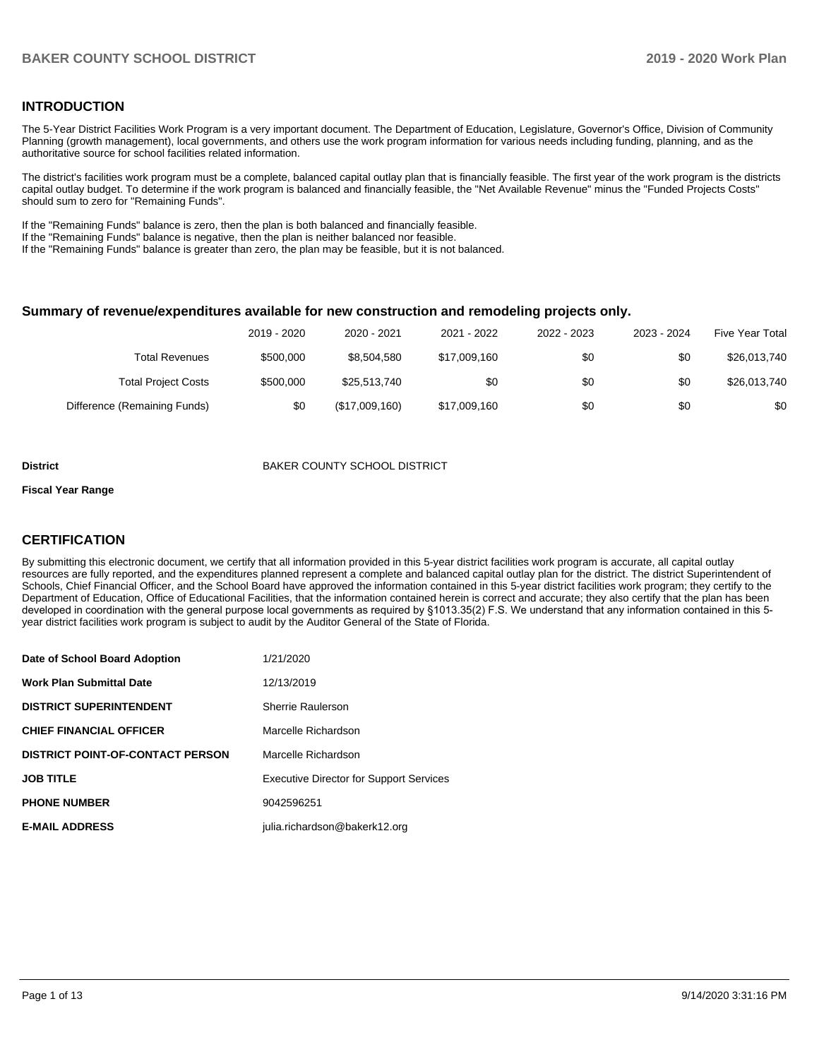## **INTRODUCTION**

The 5-Year District Facilities Work Program is a very important document. The Department of Education, Legislature, Governor's Office, Division of Community Planning (growth management), local governments, and others use the work program information for various needs including funding, planning, and as the authoritative source for school facilities related information.

The district's facilities work program must be a complete, balanced capital outlay plan that is financially feasible. The first year of the work program is the districts capital outlay budget. To determine if the work program is balanced and financially feasible, the "Net Available Revenue" minus the "Funded Projects Costs" should sum to zero for "Remaining Funds".

If the "Remaining Funds" balance is zero, then the plan is both balanced and financially feasible.

If the "Remaining Funds" balance is negative, then the plan is neither balanced nor feasible.

If the "Remaining Funds" balance is greater than zero, the plan may be feasible, but it is not balanced.

#### **Summary of revenue/expenditures available for new construction and remodeling projects only.**

| <b>Five Year Total</b> | 2023 - 2024 | 2022 - 2023 | 2021 - 2022  | 2020 - 2021    | 2019 - 2020 |                              |
|------------------------|-------------|-------------|--------------|----------------|-------------|------------------------------|
| \$26,013,740           | \$0         | \$0         | \$17,009,160 | \$8,504,580    | \$500,000   | Total Revenues               |
| \$26,013,740           | \$0         | \$0         | \$0          | \$25,513,740   | \$500,000   | <b>Total Project Costs</b>   |
| \$0                    | \$0         | \$0         | \$17,009,160 | (\$17,009,160) | \$0         | Difference (Remaining Funds) |

#### **District** BAKER COUNTY SCHOOL DISTRICT

#### **Fiscal Year Range**

## **CERTIFICATION**

By submitting this electronic document, we certify that all information provided in this 5-year district facilities work program is accurate, all capital outlay resources are fully reported, and the expenditures planned represent a complete and balanced capital outlay plan for the district. The district Superintendent of Schools, Chief Financial Officer, and the School Board have approved the information contained in this 5-year district facilities work program; they certify to the Department of Education, Office of Educational Facilities, that the information contained herein is correct and accurate; they also certify that the plan has been developed in coordination with the general purpose local governments as required by §1013.35(2) F.S. We understand that any information contained in this 5 year district facilities work program is subject to audit by the Auditor General of the State of Florida.

| Date of School Board Adoption           | 1/21/2020                                      |
|-----------------------------------------|------------------------------------------------|
| Work Plan Submittal Date                | 12/13/2019                                     |
| <b>DISTRICT SUPERINTENDENT</b>          | Sherrie Raulerson                              |
| <b>CHIEF FINANCIAL OFFICER</b>          | Marcelle Richardson                            |
| <b>DISTRICT POINT-OF-CONTACT PERSON</b> | Marcelle Richardson                            |
| JOB TITLE                               | <b>Executive Director for Support Services</b> |
| <b>PHONE NUMBER</b>                     | 9042596251                                     |
| <b>E-MAIL ADDRESS</b>                   | julia.richardson@bakerk12.org                  |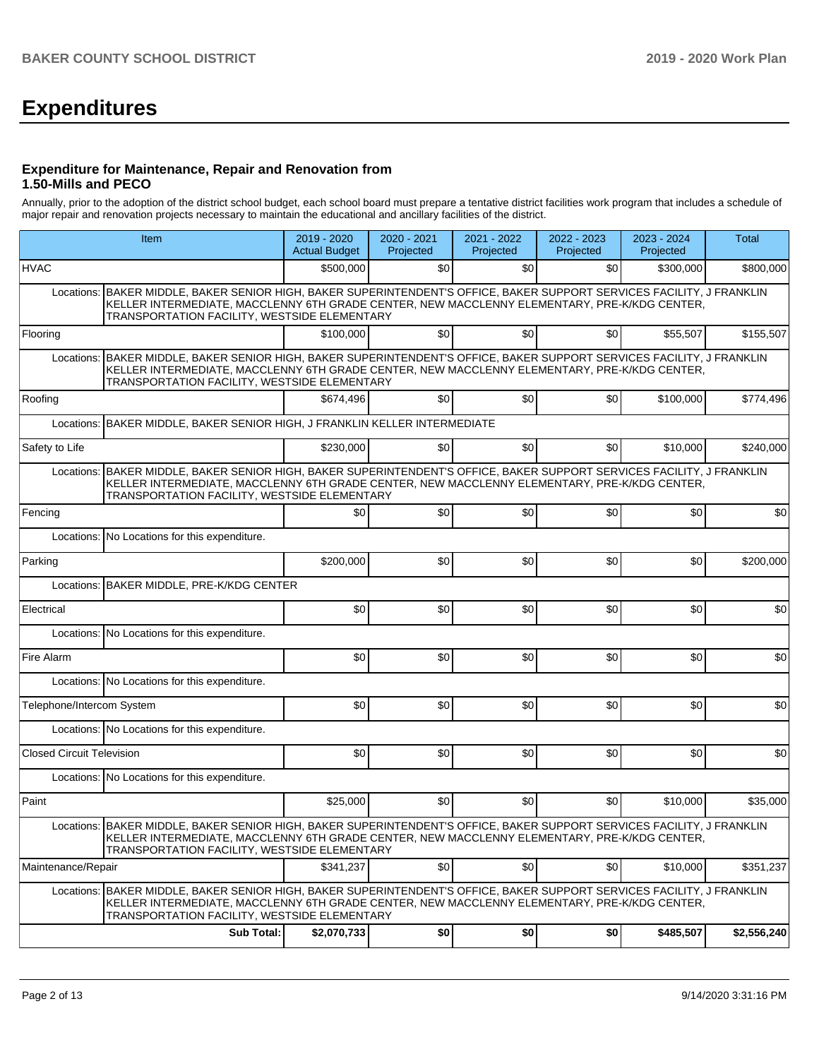# **Expenditures**

### **Expenditure for Maintenance, Repair and Renovation from 1.50-Mills and PECO**

Annually, prior to the adoption of the district school budget, each school board must prepare a tentative district facilities work program that includes a schedule of major repair and renovation projects necessary to maintain the educational and ancillary facilities of the district.

|                                  | Item                                                                                                                                                                                                                                                                   | 2019 - 2020<br><b>Actual Budget</b> | 2020 - 2021<br>Projected | 2021 - 2022<br>Projected | 2022 - 2023<br>Projected | 2023 - 2024<br>Projected | Total       |  |  |  |
|----------------------------------|------------------------------------------------------------------------------------------------------------------------------------------------------------------------------------------------------------------------------------------------------------------------|-------------------------------------|--------------------------|--------------------------|--------------------------|--------------------------|-------------|--|--|--|
| <b>HVAC</b>                      |                                                                                                                                                                                                                                                                        | \$500,000                           | \$0                      | \$0                      | \$0                      | \$300,000                | \$800,000   |  |  |  |
| Locations:                       | BAKER MIDDLE, BAKER SENIOR HIGH, BAKER SUPERINTENDENT'S OFFICE, BAKER SUPPORT SERVICES FACILITY, J FRANKLIN<br>KELLER INTERMEDIATE, MACCLENNY 6TH GRADE CENTER, NEW MACCLENNY ELEMENTARY, PRE-K/KDG CENTER,<br>TRANSPORTATION FACILITY, WESTSIDE ELEMENTARY            |                                     |                          |                          |                          |                          |             |  |  |  |
| Flooring                         |                                                                                                                                                                                                                                                                        | \$100,000                           | \$0                      | \$0                      | \$0 <sub>1</sub>         | \$55,507                 | \$155,507   |  |  |  |
|                                  | Locations: BAKER MIDDLE, BAKER SENIOR HIGH, BAKER SUPERINTENDENT'S OFFICE, BAKER SUPPORT SERVICES FACILITY, J FRANKLIN<br>KELLER INTERMEDIATE, MACCLENNY 6TH GRADE CENTER, NEW MACCLENNY ELEMENTARY, PRE-K/KDG CENTER,<br>TRANSPORTATION FACILITY, WESTSIDE ELEMENTARY |                                     |                          |                          |                          |                          |             |  |  |  |
| Roofing                          |                                                                                                                                                                                                                                                                        | \$674,496                           | \$0                      | \$0                      | \$0                      | \$100,000                | \$774,496   |  |  |  |
| Locations:                       | BAKER MIDDLE, BAKER SENIOR HIGH, J FRANKLIN KELLER INTERMEDIATE                                                                                                                                                                                                        |                                     |                          |                          |                          |                          |             |  |  |  |
| Safety to Life                   |                                                                                                                                                                                                                                                                        | \$230,000                           | \$0                      | \$0                      | \$0                      | \$10,000                 | \$240,000   |  |  |  |
| Locations:                       | BAKER MIDDLE, BAKER SENIOR HIGH, BAKER SUPERINTENDENT'S OFFICE, BAKER SUPPORT SERVICES FACILITY, J FRANKLIN<br>KELLER INTERMEDIATE, MACCLENNY 6TH GRADE CENTER, NEW MACCLENNY ELEMENTARY, PRE-K/KDG CENTER,<br>TRANSPORTATION FACILITY, WESTSIDE ELEMENTARY            |                                     |                          |                          |                          |                          |             |  |  |  |
| Fencing                          |                                                                                                                                                                                                                                                                        | \$0                                 | \$0                      | \$0                      | \$0                      | \$0                      | \$0         |  |  |  |
|                                  | Locations: No Locations for this expenditure.                                                                                                                                                                                                                          |                                     |                          |                          |                          |                          |             |  |  |  |
| Parking                          |                                                                                                                                                                                                                                                                        | \$200,000                           | \$0                      | \$0                      | \$0                      | \$0                      | \$200,000   |  |  |  |
| Locations:                       | BAKER MIDDLE, PRE-K/KDG CENTER                                                                                                                                                                                                                                         |                                     |                          |                          |                          |                          |             |  |  |  |
| Electrical                       |                                                                                                                                                                                                                                                                        | \$0                                 | \$0                      | \$0                      | \$0                      | \$0                      | \$0         |  |  |  |
|                                  | Locations: No Locations for this expenditure.                                                                                                                                                                                                                          |                                     |                          |                          |                          |                          |             |  |  |  |
| Fire Alarm                       |                                                                                                                                                                                                                                                                        | \$0                                 | \$0                      | \$0                      | \$0                      | \$0                      | \$0         |  |  |  |
|                                  | Locations: No Locations for this expenditure.                                                                                                                                                                                                                          |                                     |                          |                          |                          |                          |             |  |  |  |
| Telephone/Intercom System        |                                                                                                                                                                                                                                                                        | \$0                                 | \$0                      | \$0                      | \$0                      | \$0                      | \$0         |  |  |  |
|                                  | Locations: No Locations for this expenditure.                                                                                                                                                                                                                          |                                     |                          |                          |                          |                          |             |  |  |  |
| <b>Closed Circuit Television</b> |                                                                                                                                                                                                                                                                        | \$0                                 | \$0                      | \$0                      | \$0                      | \$0                      | \$0         |  |  |  |
|                                  | Locations: No Locations for this expenditure.                                                                                                                                                                                                                          |                                     |                          |                          |                          |                          |             |  |  |  |
| Paint                            |                                                                                                                                                                                                                                                                        | \$25,000                            | \$0                      | \$0                      | \$0                      | \$10,000                 | \$35,000    |  |  |  |
|                                  | Locations: BAKER MIDDLE, BAKER SENIOR HIGH, BAKER SUPERINTENDENT'S OFFICE, BAKER SUPPORT SERVICES FACILITY, J FRANKLIN<br>KELLER INTERMEDIATE, MACCLENNY 6TH GRADE CENTER, NEW MACCLENNY ELEMENTARY, PRE-K/KDG CENTER,<br>TRANSPORTATION FACILITY, WESTSIDE ELEMENTARY |                                     |                          |                          |                          |                          |             |  |  |  |
| Maintenance/Repair               |                                                                                                                                                                                                                                                                        | \$341,237                           | \$0                      | \$0                      | \$0                      | \$10,000                 | \$351,237   |  |  |  |
|                                  | Locations: BAKER MIDDLE, BAKER SENIOR HIGH, BAKER SUPERINTENDENT'S OFFICE, BAKER SUPPORT SERVICES FACILITY, J FRANKLIN<br>KELLER INTERMEDIATE, MACCLENNY 6TH GRADE CENTER, NEW MACCLENNY ELEMENTARY, PRE-K/KDG CENTER,<br>TRANSPORTATION FACILITY, WESTSIDE ELEMENTARY |                                     |                          |                          |                          |                          |             |  |  |  |
|                                  | <b>Sub Total:</b>                                                                                                                                                                                                                                                      | \$2,070,733                         | \$0                      | \$0                      | \$0                      | \$485,507                | \$2,556,240 |  |  |  |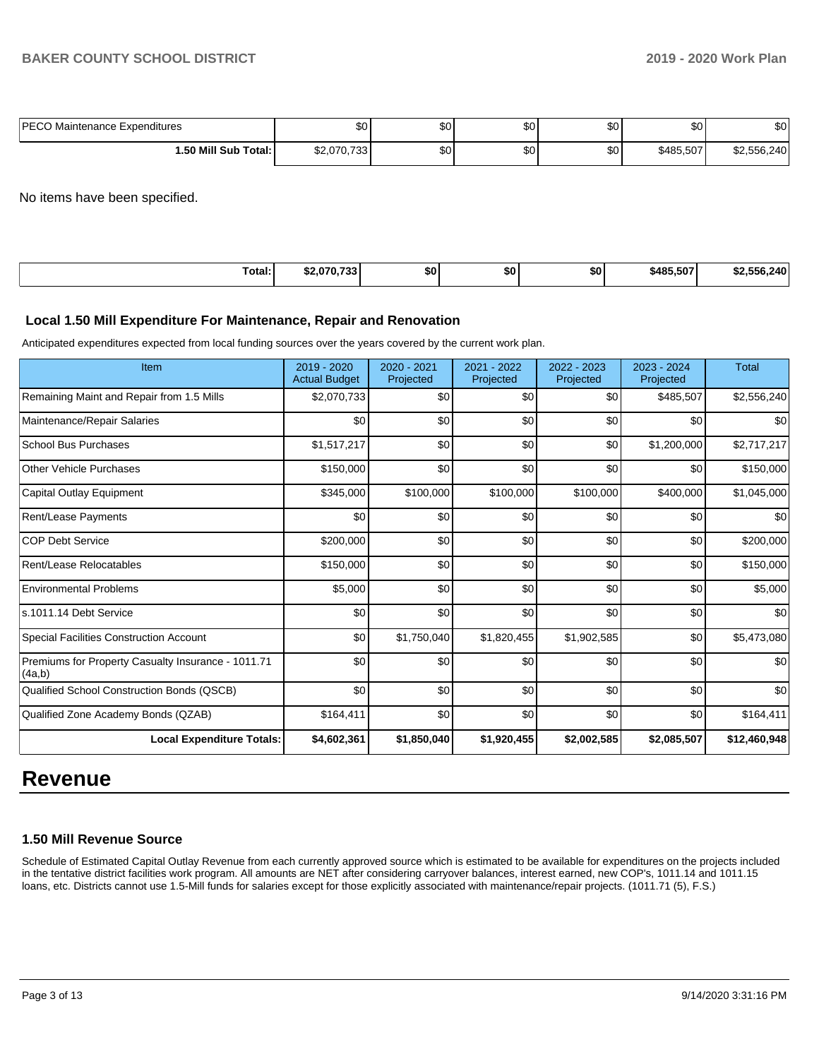| <b>PECO</b><br>) Maintenance Expenditures | Ψ∪          | ሖ<br>ມບ     | $\sim$<br>w | ሶሳ<br>ູບບ | \$0       | \$0         |
|-------------------------------------------|-------------|-------------|-------------|-----------|-----------|-------------|
| 1.50 Mill Sub Total: İ                    | \$2,070,733 | $\sim$<br>w | ሶሳ<br>υU    | ¢Λ<br>υU  | \$485.507 | \$2,556,240 |

No items have been specified.

| Total:<br>. | \$2.070.733 | SO I | \$0 | \$0 | \$485.507 | 240 |
|-------------|-------------|------|-----|-----|-----------|-----|
|-------------|-------------|------|-----|-----|-----------|-----|

#### **Local 1.50 Mill Expenditure For Maintenance, Repair and Renovation**

Anticipated expenditures expected from local funding sources over the years covered by the current work plan.

| Item                                                         | 2019 - 2020<br><b>Actual Budget</b> | 2020 - 2021<br>Projected | $2021 - 2022$<br>Projected | 2022 - 2023<br>Projected | 2023 - 2024<br>Projected | <b>Total</b> |
|--------------------------------------------------------------|-------------------------------------|--------------------------|----------------------------|--------------------------|--------------------------|--------------|
| Remaining Maint and Repair from 1.5 Mills                    | \$2,070,733                         | \$0                      | \$0                        | \$0                      | \$485,507                | \$2,556,240  |
| Maintenance/Repair Salaries                                  | \$0                                 | \$0                      | \$0                        | \$0                      | \$0                      | \$0          |
| <b>School Bus Purchases</b>                                  | \$1,517,217                         | \$0                      | \$0                        | \$0                      | \$1,200,000              | \$2,717,217  |
| <b>Other Vehicle Purchases</b>                               | \$150,000                           | \$0                      | \$0                        | \$0                      | \$0                      | \$150,000    |
| Capital Outlay Equipment                                     | \$345,000                           | \$100,000                | \$100,000                  | \$100,000                | \$400,000                | \$1,045,000  |
| <b>Rent/Lease Payments</b>                                   | \$0                                 | \$0                      | \$0                        | \$0                      | \$0                      | \$0          |
| <b>COP Debt Service</b>                                      | \$200,000                           | \$0                      | \$0                        | \$0                      | \$0                      | \$200,000    |
| Rent/Lease Relocatables                                      | \$150,000                           | \$0                      | \$0                        | \$0                      | \$0                      | \$150,000    |
| <b>Environmental Problems</b>                                | \$5,000                             | \$0                      | \$0                        | \$0                      | \$0                      | \$5,000      |
| s.1011.14 Debt Service                                       | \$0                                 | \$0                      | \$0                        | \$0                      | \$0                      | \$0          |
| <b>Special Facilities Construction Account</b>               | \$0                                 | \$1,750,040              | \$1,820,455                | \$1,902,585              | \$0                      | \$5,473,080  |
| Premiums for Property Casualty Insurance - 1011.71<br>(4a,b) | \$0                                 | \$0                      | \$0                        | \$0                      | \$0                      | \$0          |
| Qualified School Construction Bonds (QSCB)                   | \$0                                 | \$0                      | \$0                        | \$0                      | \$0                      | \$0          |
| Qualified Zone Academy Bonds (QZAB)                          | \$164,411                           | \$0                      | \$0                        | \$0                      | \$0                      | \$164,411    |
| <b>Local Expenditure Totals:</b>                             | \$4,602,361                         | \$1,850,040              | \$1,920,455                | \$2,002,585              | \$2,085,507              | \$12,460,948 |

# **Revenue**

## **1.50 Mill Revenue Source**

Schedule of Estimated Capital Outlay Revenue from each currently approved source which is estimated to be available for expenditures on the projects included in the tentative district facilities work program. All amounts are NET after considering carryover balances, interest earned, new COP's, 1011.14 and 1011.15 loans, etc. Districts cannot use 1.5-Mill funds for salaries except for those explicitly associated with maintenance/repair projects. (1011.71 (5), F.S.)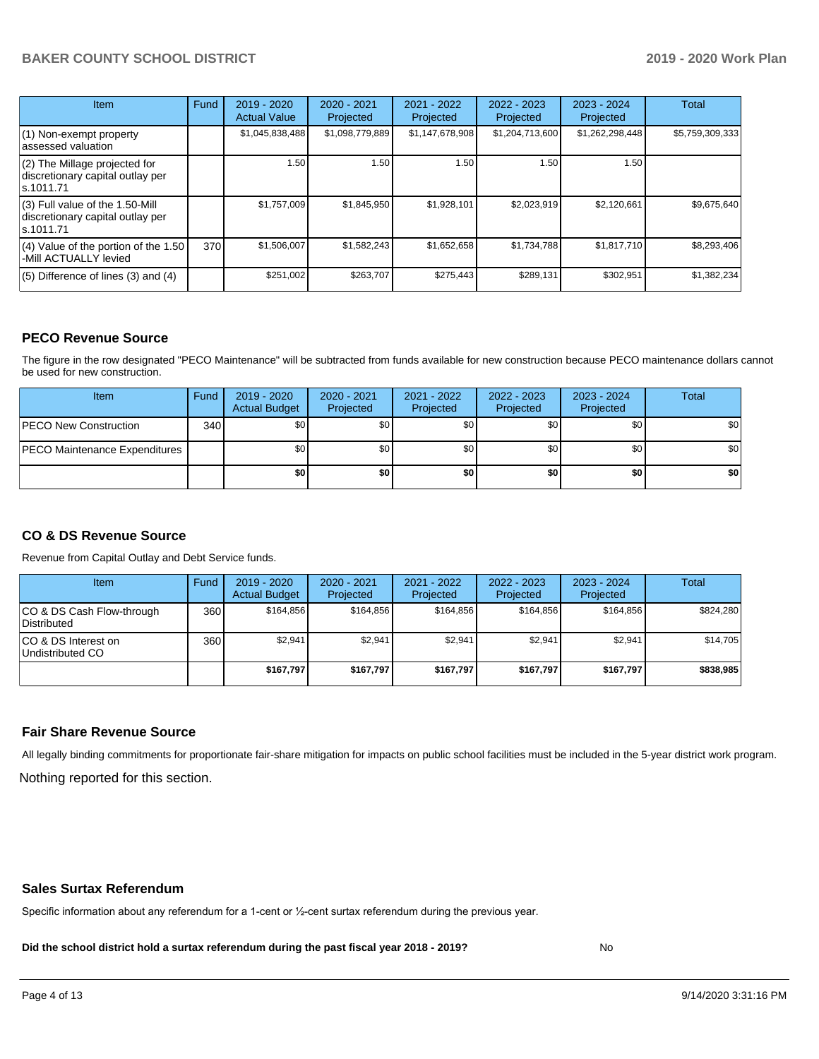# **BAKER COUNTY SCHOOL DISTRICT 2019 - 2020 Work Plan**

| <b>Item</b>                                                                       | Fund | $2019 - 2020$<br><b>Actual Value</b> | $2020 - 2021$<br>Projected | 2021 - 2022<br>Projected | 2022 - 2023<br>Projected | $2023 - 2024$<br>Projected | <b>Total</b>    |
|-----------------------------------------------------------------------------------|------|--------------------------------------|----------------------------|--------------------------|--------------------------|----------------------------|-----------------|
| $(1)$ Non-exempt property<br>lassessed valuation                                  |      | \$1,045,838,488                      | \$1,098,779,889            | \$1,147,678,908          | \$1,204,713,600          | \$1,262,298,448            | \$5,759,309,333 |
| $(2)$ The Millage projected for<br>discretionary capital outlay per<br>ls.1011.71 |      | 1.50                                 | 1.50                       | 1.50                     | 1.50                     | 1.50                       |                 |
| (3) Full value of the 1.50-Mill<br>discretionary capital outlay per<br>ls.1011.71 |      | \$1,757,009                          | \$1,845,950                | \$1,928,101              | \$2,023,919              | \$2,120,661                | \$9,675,640     |
| (4) Value of the portion of the 1.50<br>-Mill ACTUALLY levied                     | 370  | \$1,506,007                          | \$1,582,243                | \$1,652,658              | \$1,734,788              | \$1,817,710                | \$8,293,406     |
| $(5)$ Difference of lines $(3)$ and $(4)$                                         |      | \$251,002                            | \$263,707                  | \$275,443                | \$289,131                | \$302,951                  | \$1,382,234     |

### **PECO Revenue Source**

The figure in the row designated "PECO Maintenance" will be subtracted from funds available for new construction because PECO maintenance dollars cannot be used for new construction.

| Item                                 | Fund | 2019 - 2020<br><b>Actual Budget</b> | 2020 - 2021<br>Projected | 2021 - 2022<br>Projected | $2022 - 2023$<br>Projected | 2023 - 2024<br>Projected | Total            |
|--------------------------------------|------|-------------------------------------|--------------------------|--------------------------|----------------------------|--------------------------|------------------|
| <b>IPECO New Construction</b>        | 340  | \$0                                 | \$0                      | \$0                      | \$0 <sub>1</sub>           | \$0                      | \$0 <sub>1</sub> |
| <b>PECO Maintenance Expenditures</b> |      | ا 30                                | \$0                      | \$0                      | \$0 <sub>1</sub>           | \$0                      | \$0 <sub>1</sub> |
|                                      |      | \$0                                 | \$0                      | \$0                      | \$0                        | \$0                      | \$0              |

## **CO & DS Revenue Source**

Revenue from Capital Outlay and Debt Service funds.

| Item                                      | Fund  | $2019 - 2020$<br><b>Actual Budget</b> | 2020 - 2021<br>Projected | 2021 - 2022<br>Projected | $2022 - 2023$<br>Projected | $2023 - 2024$<br>Projected | <b>Total</b> |
|-------------------------------------------|-------|---------------------------------------|--------------------------|--------------------------|----------------------------|----------------------------|--------------|
| ICO & DS Cash Flow-through<br>Distributed | 360 l | \$164.856                             | \$164.856                | \$164.856                | \$164.856                  | \$164.856                  | \$824.280    |
| ICO & DS Interest on<br>Undistributed CO  | 360   | \$2,941                               | \$2,941                  | \$2,941                  | \$2.941                    | \$2.941                    | \$14,705     |
|                                           |       | \$167.797                             | \$167.797                | \$167.797                | \$167.797                  | \$167.797                  | \$838,985    |

### **Fair Share Revenue Source**

Nothing reported for this section. All legally binding commitments for proportionate fair-share mitigation for impacts on public school facilities must be included in the 5-year district work program.

#### **Sales Surtax Referendum**

Specific information about any referendum for a 1-cent or ½-cent surtax referendum during the previous year.

**Did the school district hold a surtax referendum during the past fiscal year 2018 - 2019?**

No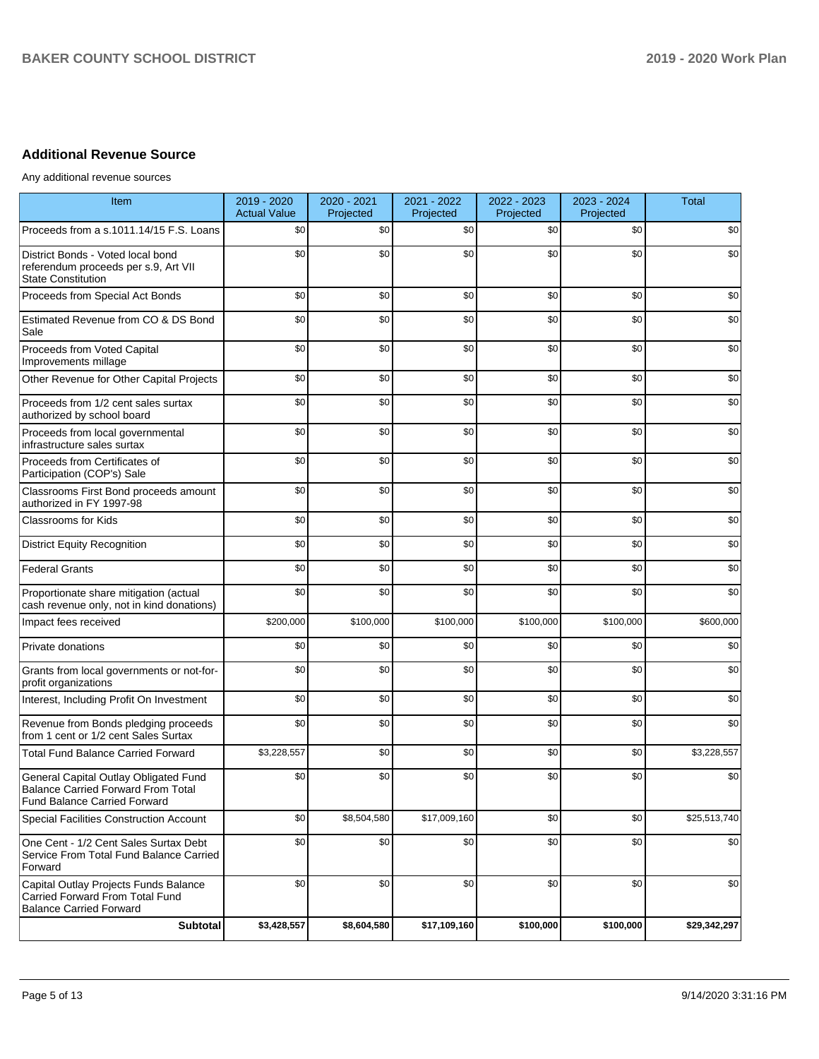# **Additional Revenue Source**

Any additional revenue sources

| Item                                                                                                                      | 2019 - 2020<br><b>Actual Value</b> | 2020 - 2021<br>Projected | 2021 - 2022<br>Projected | 2022 - 2023<br>Projected | 2023 - 2024<br>Projected | <b>Total</b> |
|---------------------------------------------------------------------------------------------------------------------------|------------------------------------|--------------------------|--------------------------|--------------------------|--------------------------|--------------|
| Proceeds from a s.1011.14/15 F.S. Loans                                                                                   | \$0                                | \$0                      | \$0                      | \$0                      | \$0                      | \$0          |
| District Bonds - Voted local bond<br>referendum proceeds per s.9, Art VII<br><b>State Constitution</b>                    | \$0                                | \$0                      | \$0                      | \$0                      | \$0                      | \$0          |
| Proceeds from Special Act Bonds                                                                                           | \$0                                | \$0                      | \$0                      | \$0                      | \$0                      | \$0          |
| Estimated Revenue from CO & DS Bond<br>Sale                                                                               | \$0                                | \$0                      | \$0                      | \$0                      | \$0                      | \$0          |
| Proceeds from Voted Capital<br>Improvements millage                                                                       | \$0                                | \$0                      | \$0                      | \$0                      | \$0                      | \$0          |
| Other Revenue for Other Capital Projects                                                                                  | \$0                                | \$0                      | \$0                      | \$0                      | \$0                      | \$0          |
| Proceeds from 1/2 cent sales surtax<br>authorized by school board                                                         | \$0                                | \$0                      | \$0                      | \$0                      | \$0                      | \$0          |
| Proceeds from local governmental<br>infrastructure sales surtax                                                           | \$0                                | \$0                      | \$0                      | \$0                      | \$0                      | \$0          |
| Proceeds from Certificates of<br>Participation (COP's) Sale                                                               | \$0                                | \$0                      | \$0                      | \$0                      | \$0                      | \$0          |
| Classrooms First Bond proceeds amount<br>authorized in FY 1997-98                                                         | \$0                                | \$0                      | \$0                      | \$0                      | \$0                      | \$0          |
| <b>Classrooms for Kids</b>                                                                                                | \$0                                | \$0                      | \$0                      | \$0                      | \$0                      | \$0          |
| <b>District Equity Recognition</b>                                                                                        | \$0                                | \$0                      | \$0                      | \$0                      | \$0                      | \$0          |
| <b>Federal Grants</b>                                                                                                     | \$0                                | \$0                      | \$0                      | \$0                      | \$0                      | \$0          |
| Proportionate share mitigation (actual<br>cash revenue only, not in kind donations)                                       | \$0                                | \$0                      | \$0                      | \$0                      | \$0                      | \$0          |
| Impact fees received                                                                                                      | \$200,000                          | \$100,000                | \$100,000                | \$100,000                | \$100,000                | \$600,000    |
| Private donations                                                                                                         | \$0                                | \$0                      | \$0                      | \$0                      | \$0                      | \$0          |
| Grants from local governments or not-for-<br>profit organizations                                                         | \$0                                | \$0                      | \$0                      | \$0                      | \$0                      | \$0          |
| Interest, Including Profit On Investment                                                                                  | \$0                                | \$0                      | \$0                      | \$0                      | \$0                      | \$0          |
| Revenue from Bonds pledging proceeds<br>from 1 cent or 1/2 cent Sales Surtax                                              | \$0                                | \$0                      | \$0                      | \$0                      | \$0                      | \$0          |
| <b>Total Fund Balance Carried Forward</b>                                                                                 | \$3,228,557                        | \$0                      | \$0                      | \$0                      | \$0                      | \$3,228,557  |
| General Capital Outlay Obligated Fund<br><b>Balance Carried Forward From Total</b><br><b>Fund Balance Carried Forward</b> | \$0                                | \$0                      | \$0                      | \$0                      | \$0                      | \$0          |
| <b>Special Facilities Construction Account</b>                                                                            | \$0                                | \$8,504,580              | \$17,009,160             | \$0                      | \$0                      | \$25,513,740 |
| One Cent - 1/2 Cent Sales Surtax Debt<br>Service From Total Fund Balance Carried<br>Forward                               | \$0                                | \$0                      | \$0                      | \$0                      | \$0                      | \$0          |
| Capital Outlay Projects Funds Balance<br>Carried Forward From Total Fund<br><b>Balance Carried Forward</b>                | \$0                                | \$0                      | \$0                      | \$0                      | \$0                      | \$0          |
| <b>Subtotal</b>                                                                                                           | \$3,428,557                        | \$8,604,580              | \$17,109,160             | \$100,000                | \$100,000                | \$29,342,297 |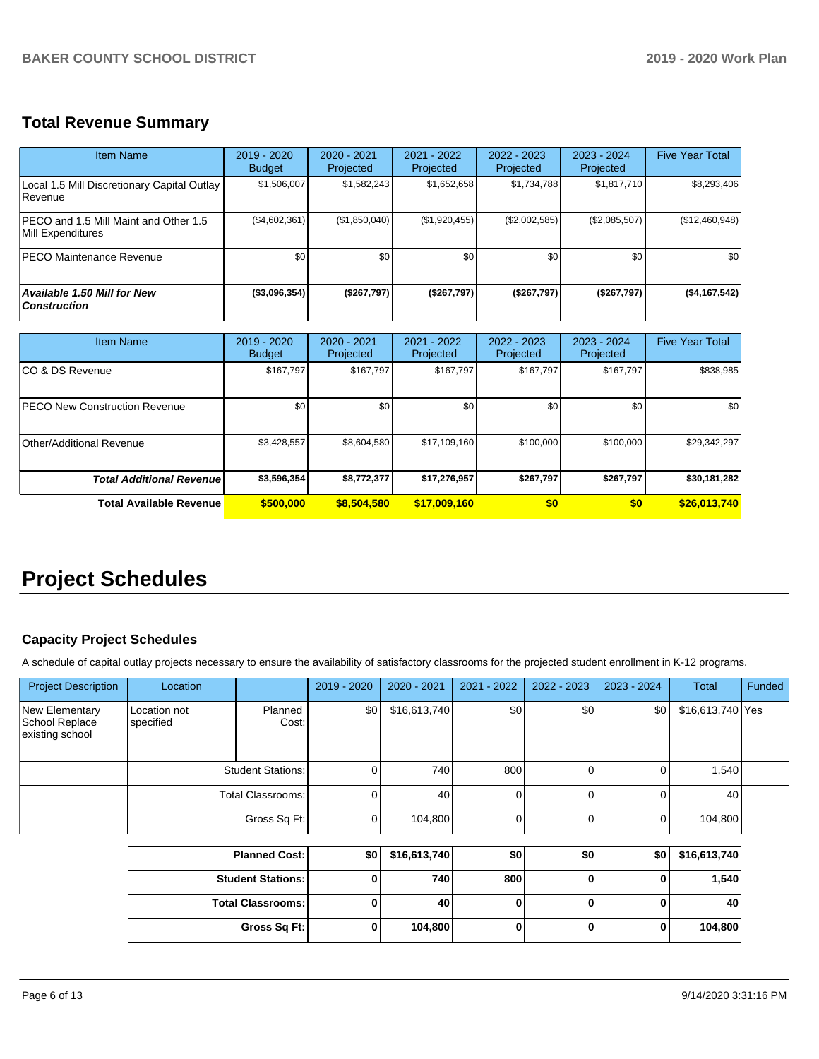# **Total Revenue Summary**

| Item Name                                                     | 2019 - 2020<br><b>Budget</b> | $2020 - 2021$<br>Projected | 2021 - 2022<br>Projected | $2022 - 2023$<br>Projected | $2023 - 2024$<br>Projected | <b>Five Year Total</b> |
|---------------------------------------------------------------|------------------------------|----------------------------|--------------------------|----------------------------|----------------------------|------------------------|
| Local 1.5 Mill Discretionary Capital Outlay<br><b>Revenue</b> | \$1,506,007                  | \$1,582,243                | \$1,652,658              | \$1,734,788                | \$1,817,710                | \$8,293,406            |
| IPECO and 1.5 Mill Maint and Other 1.5<br>Mill Expenditures   | (\$4,602,361)                | (\$1,850,040)              | (\$1,920,455)            | (\$2,002,585)              | (\$2,085,507)              | (\$12,460,948)         |
| <b>PECO Maintenance Revenue</b>                               | \$0 <sub>1</sub>             | \$0 <sub>1</sub>           | \$0                      | \$0                        | \$0                        | \$0                    |
| <b>Available 1.50 Mill for New</b><br><b>Construction</b>     | (\$3,096,354)                | (\$267,797)                | (\$267,797)              | (\$267,797)                | (\$267,797)                | (\$4,167,542)          |

| <b>Item Name</b>                      | 2019 - 2020<br><b>Budget</b> | $2020 - 2021$<br>Projected | 2021 - 2022<br>Projected | 2022 - 2023<br>Projected | 2023 - 2024<br>Projected | <b>Five Year Total</b> |
|---------------------------------------|------------------------------|----------------------------|--------------------------|--------------------------|--------------------------|------------------------|
| ICO & DS Revenue                      | \$167,797                    | \$167,797                  | \$167.797                | \$167.797                | \$167,797                | \$838,985              |
| <b>IPECO New Construction Revenue</b> | \$0                          | \$0 <sub>1</sub>           | \$0                      | \$0                      | \$0                      | \$0                    |
| Other/Additional Revenue              | \$3,428,557                  | \$8,604,580                | \$17,109,160             | \$100,000                | \$100,000                | \$29,342,297           |
| <b>Total Additional Revenuel</b>      | \$3,596,354                  | \$8,772,377                | \$17,276,957             | \$267,797                | \$267,797                | \$30,181,282           |
| <b>Total Available Revenue</b>        | \$500,000                    | \$8,504,580                | \$17,009,160             | \$0                      | \$0                      | \$26,013,740           |

# **Project Schedules**

# **Capacity Project Schedules**

A schedule of capital outlay projects necessary to ensure the availability of satisfactory classrooms for the projected student enrollment in K-12 programs.

| <b>Project Description</b>                          | Location                  |                          | 2019 - 2020      | 2020 - 2021  | $2021 - 2022$ | $2022 - 2023$ | 2023 - 2024 | <b>Total</b>     | Funded |
|-----------------------------------------------------|---------------------------|--------------------------|------------------|--------------|---------------|---------------|-------------|------------------|--------|
| New Elementary<br>School Replace<br>existing school | Location not<br>specified | Planned<br>Cost:         | \$0 <sub>1</sub> | \$16,613,740 | \$0           | \$0           | \$0         | \$16,613,740 Yes |        |
|                                                     |                           | <b>Student Stations:</b> | 01               | 740          | 800           |               |             | 1,540            |        |
|                                                     |                           | Total Classrooms:        | 01               | 40           |               |               |             | 40               |        |
|                                                     |                           | Gross Sq Ft:             | ΟI               | 104,800      |               |               |             | 104,800          |        |

| <b>Planned Cost:</b>       | \$٥١ | \$16,613,740 | \$0 | \$0 | \$0 | \$16,613,740 |
|----------------------------|------|--------------|-----|-----|-----|--------------|
| <b>Student Stations: I</b> |      | 740          | 800 | υ   |     | 1,540        |
| <b>Total Classrooms:</b>   |      | 40           |     | υ   |     | 40           |
| Gross Sq Ft:               |      | 104,800      |     | υ   |     | 104,800      |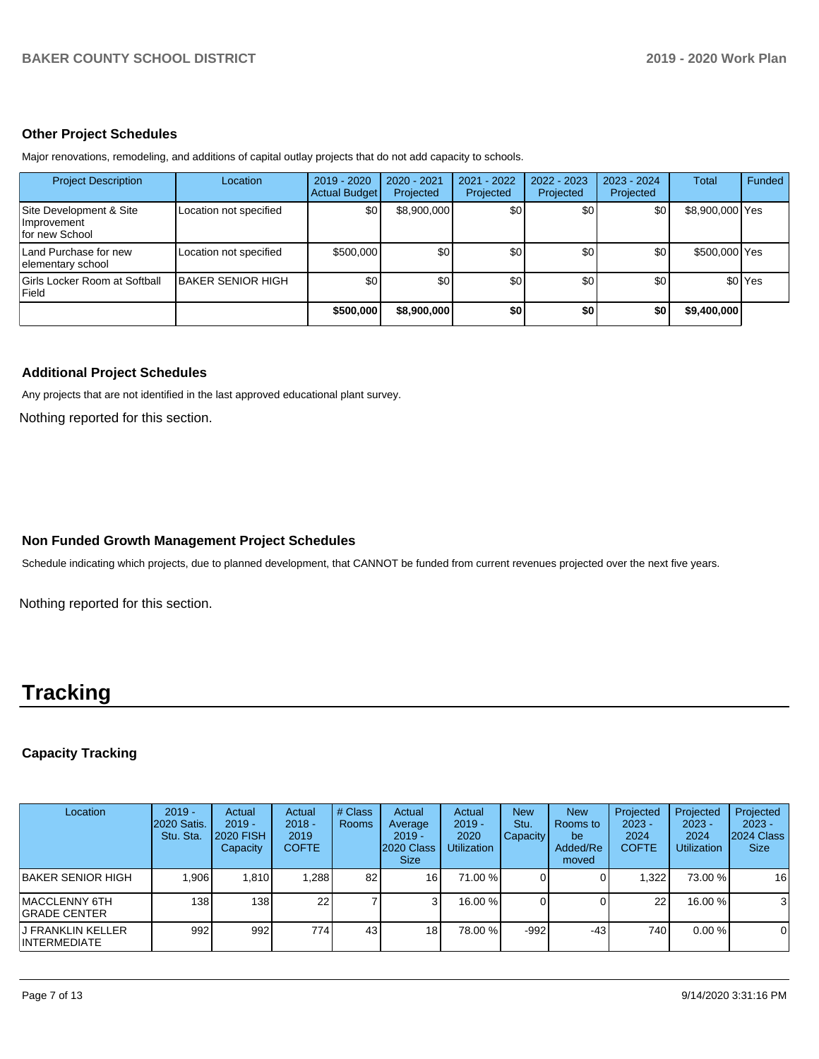### **Other Project Schedules**

Major renovations, remodeling, and additions of capital outlay projects that do not add capacity to schools.

| <b>Project Description</b>                               | Location                 | 2019 - 2020<br><b>Actual Budget</b> | 2020 - 2021<br>Projected | 2021 - 2022<br>Projected | 2022 - 2023<br>Projected | $2023 - 2024$<br>Projected | Total           | Funded             |
|----------------------------------------------------------|--------------------------|-------------------------------------|--------------------------|--------------------------|--------------------------|----------------------------|-----------------|--------------------|
| Site Development & Site<br>Improvement<br>for new School | Location not specified   | \$0                                 | \$8,900,000              | \$0                      | \$0                      | \$0                        | \$8,900,000 Yes |                    |
| Land Purchase for new<br>elementary school               | Location not specified   | \$500,000                           | \$0                      | \$0                      | \$0                      | \$0                        | \$500,000 Yes   |                    |
| Girls Locker Room at Softball<br>Field                   | <b>BAKER SENIOR HIGH</b> | \$0                                 | \$0                      | \$0                      | \$0                      | \$0                        |                 | \$0 <sup>Yes</sup> |
|                                                          |                          | \$500,000                           | \$8,900,000              | \$0                      | \$0                      | \$0                        | \$9,400,000     |                    |

### **Additional Project Schedules**

Any projects that are not identified in the last approved educational plant survey.

Nothing reported for this section.

# **Non Funded Growth Management Project Schedules**

Schedule indicating which projects, due to planned development, that CANNOT be funded from current revenues projected over the next five years.

Nothing reported for this section.

# **Tracking**

# **Capacity Tracking**

| Location                           | $2019 -$<br><b>2020 Satis.</b><br>Stu. Sta. | Actual<br>$2019 -$<br><b>2020 FISH</b><br>Capacity | Actual<br>$2018 -$<br>2019<br><b>COFTE</b> | # Class<br><b>Rooms</b> | Actual<br>Average<br>$2019 -$<br>2020 Class<br><b>Size</b> | Actual<br>$2019 -$<br>2020<br><b>Utilization</b> | <b>New</b><br>Stu.<br>Capacity | <b>New</b><br><b>Rooms</b> to<br>be<br>Added/Re<br>moved | Projected<br>$2023 -$<br>2024<br><b>COFTE</b> | Projected<br>$2023 -$<br>2024<br><b>Utilization</b> | Projected<br>$2023 -$<br>2024 Class<br><b>Size</b> |
|------------------------------------|---------------------------------------------|----------------------------------------------------|--------------------------------------------|-------------------------|------------------------------------------------------------|--------------------------------------------------|--------------------------------|----------------------------------------------------------|-----------------------------------------------|-----------------------------------------------------|----------------------------------------------------|
| BAKER SENIOR HIGH                  | .906                                        | 1.810                                              | 1,288                                      | 82                      | 16                                                         | 71.00 %                                          |                                |                                                          | .322                                          | 73.00 %                                             | 16                                                 |
| IMACCLENNY 6TH<br>IGRADE CENTER    | 138 I                                       | 138 <sub>1</sub>                                   | 22 <sub>1</sub>                            |                         |                                                            | 16.00 %                                          |                                |                                                          | 22 <sub>l</sub>                               | 16.00 %                                             | 3                                                  |
| IJ FRANKLIN KELLER<br>INTERMEDIATE | 992                                         | 992                                                | 774                                        | 43                      | 18                                                         | 78.00 %                                          | $-992$                         | $-43$                                                    | 740 <b>I</b>                                  | $0.00 \%$                                           | $\mathbf 0$                                        |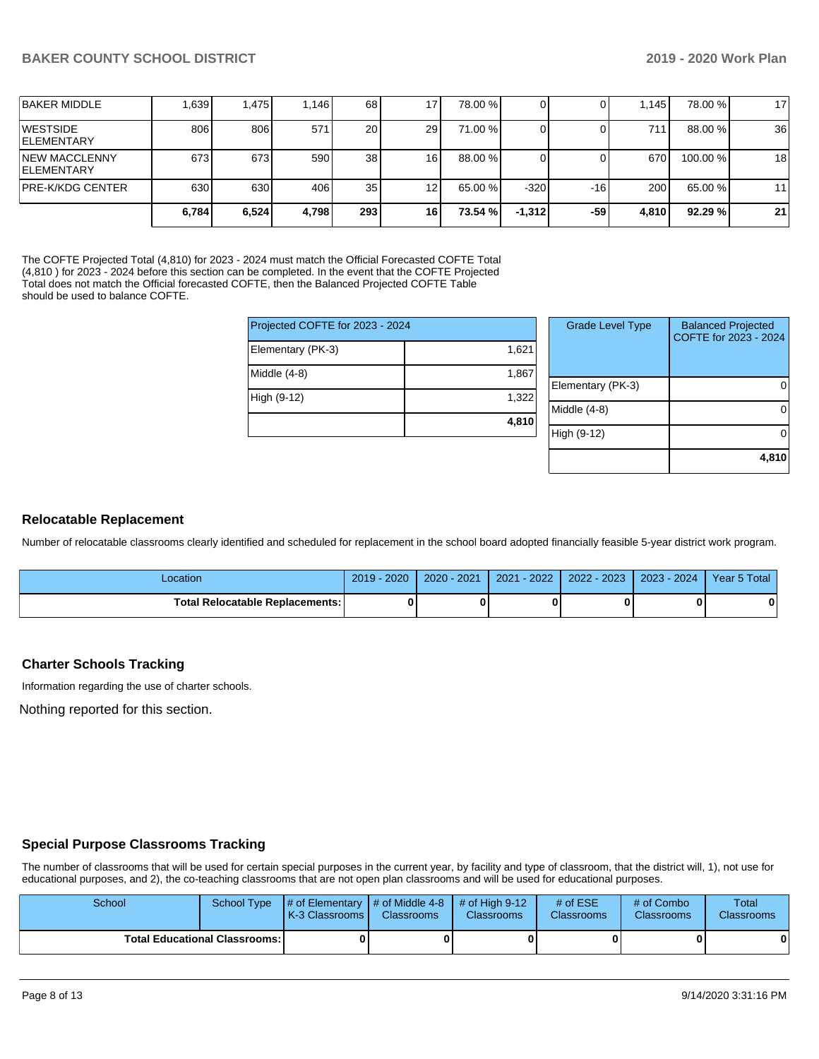|                                             | 6,784 | 6,524 | 4,798 | <b>2931</b>     | 16              | 73.54 % | $-1.312$ | -59   | 4.810 | 92.29%   | 21 |
|---------------------------------------------|-------|-------|-------|-----------------|-----------------|---------|----------|-------|-------|----------|----|
| <b>PRE-K/KDG CENTER</b>                     | 630   | 630   | 406   | 35 <sub>1</sub> | 12 <sub>l</sub> | 65.00 % | $-320$   | $-16$ | 200   | 65.00 %  | 11 |
| <b>INEW MACCLENNY</b><br><b>IELEMENTARY</b> | 673   | 673   | 590   | 38              | 16              | 88.00 % |          |       | 670   | 100.00 % | 18 |
| <b>IWESTSIDE</b><br><b>IELEMENTARY</b>      | 806   | 806   | 571   | <b>20</b>       | 29              | 71.00 % |          |       | 711   | 88.00 %  | 36 |
| <b>BAKER MIDDLE</b>                         | 1.639 | 1.475 | 1.146 | 68              | .7              | 78.00 % |          |       | 1.145 | 78.00 %  | 17 |

The COFTE Projected Total (4,810) for 2023 - 2024 must match the Official Forecasted COFTE Total (4,810) for 2023 - 2024 before this section can be completed. In the event that the COFTE Projected Total does not match the Official forecasted COFTE, then the Balanced Projected COFTE Table should be used to balance COFTE.

| Projected COFTE for 2023 - 2024 |       |    |
|---------------------------------|-------|----|
| Elementary (PK-3)               | 1,621 |    |
| Middle $(4-8)$                  | 1,867 | EI |
| High (9-12)                     | 1,322 | Mi |
|                                 | 4,810 |    |
|                                 |       |    |

| <b>Grade Level Type</b> | <b>Balanced Projected</b><br>COFTE for 2023 - 2024 |
|-------------------------|----------------------------------------------------|
| Elementary (PK-3)       |                                                    |
| Middle $(4-8)$          |                                                    |
| High (9-12)             |                                                    |
|                         | 4,810                                              |

### **Relocatable Replacement**

Number of relocatable classrooms clearly identified and scheduled for replacement in the school board adopted financially feasible 5-year district work program.

| _ocation                               | $-2020$<br>2019 | $-2021$<br>2020 | $-2022$<br>2021 | 2022 - 2023 | 2023 - 2024 | Year 5 Total |
|----------------------------------------|-----------------|-----------------|-----------------|-------------|-------------|--------------|
| <b>Total Relocatable Replacements:</b> |                 |                 |                 |             |             | 0            |

### **Charter Schools Tracking**

Information regarding the use of charter schools.

Nothing reported for this section.

### **Special Purpose Classrooms Tracking**

The number of classrooms that will be used for certain special purposes in the current year, by facility and type of classroom, that the district will, 1), not use for educational purposes, and 2), the co-teaching classrooms that are not open plan classrooms and will be used for educational purposes.

| School | School Type                            | $\parallel$ # of Elementary $\parallel$ # of Middle 4-8 $\parallel$ # of High 9-12<br><b>K-3 Classrooms I</b> | <b>Classrooms</b> | <b>Classrooms</b> | # of $ESE$<br><b>Classrooms</b> | # of Combo<br><b>Classrooms</b> | Total<br><b>Classrooms</b> |
|--------|----------------------------------------|---------------------------------------------------------------------------------------------------------------|-------------------|-------------------|---------------------------------|---------------------------------|----------------------------|
|        | <b>Total Educational Classrooms: I</b> |                                                                                                               |                   |                   |                                 |                                 |                            |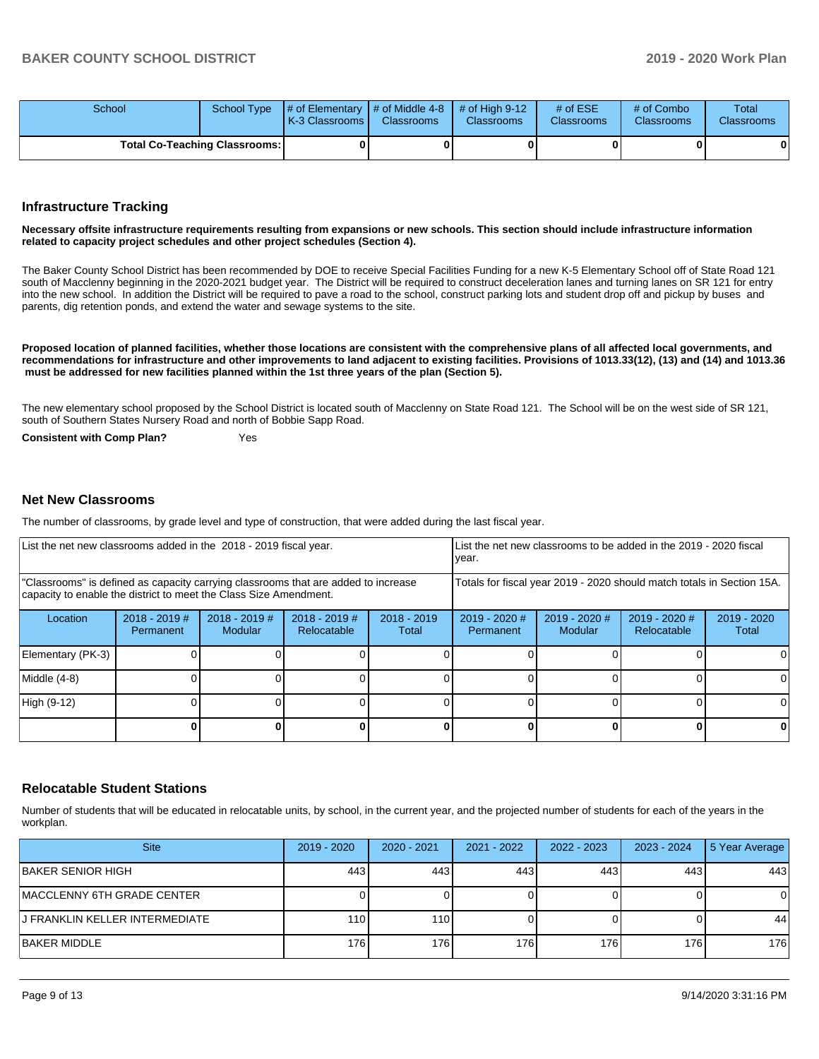| School |                                      | School Type $\parallel \#$ of Elementary $\parallel \#$ of Middle 4-8 $\parallel \#$ of High 9-12<br><b>K-3 Classrooms</b> | <b>Classrooms</b> | <b>Classrooms</b> | # of $ESE$<br><b>Classrooms</b> | # of Combo<br><b>Classrooms</b> | Total<br><b>Classrooms</b> |
|--------|--------------------------------------|----------------------------------------------------------------------------------------------------------------------------|-------------------|-------------------|---------------------------------|---------------------------------|----------------------------|
|        | <b>Total Co-Teaching Classrooms:</b> |                                                                                                                            | 0                 |                   |                                 | 01                              | 0                          |

### **Infrastructure Tracking**

#### **Necessary offsite infrastructure requirements resulting from expansions or new schools. This section should include infrastructure information related to capacity project schedules and other project schedules (Section 4).**

The Baker County School District has been recommended by DOE to receive Special Facilities Funding for a new K-5 Elementary School off of State Road 121 south of Macclenny beginning in the 2020-2021 budget year. The District will be required to construct deceleration lanes and turning lanes on SR 121 for entry into the new school. In addition the District will be required to pave a road to the school, construct parking lots and student drop off and pickup by buses and parents, dig retention ponds, and extend the water and sewage systems to the site.

**Proposed location of planned facilities, whether those locations are consistent with the comprehensive plans of all affected local governments, and recommendations for infrastructure and other improvements to land adjacent to existing facilities. Provisions of 1013.33(12), (13) and (14) and 1013.36 must be addressed for new facilities planned within the 1st three years of the plan (Section 5).** 

The new elementary school proposed by the School District is located south of Macclenny on State Road 121. The School will be on the west side of SR 121, south of Southern States Nursery Road and north of Bobbie Sapp Road.

**Consistent with Comp Plan?** Yes

#### **Net New Classrooms**

The number of classrooms, by grade level and type of construction, that were added during the last fiscal year.

| List the net new classrooms added in the 2018 - 2019 fiscal year.                                                                                       | List the net new classrooms to be added in the 2019 - 2020 fiscal<br>year. |                                   |                                |                        |                                                                        |                          |                              |                      |  |
|---------------------------------------------------------------------------------------------------------------------------------------------------------|----------------------------------------------------------------------------|-----------------------------------|--------------------------------|------------------------|------------------------------------------------------------------------|--------------------------|------------------------------|----------------------|--|
| "Classrooms" is defined as capacity carrying classrooms that are added to increase<br>capacity to enable the district to meet the Class Size Amendment. |                                                                            |                                   |                                |                        | Totals for fiscal year 2019 - 2020 should match totals in Section 15A. |                          |                              |                      |  |
| Location                                                                                                                                                | $2018 - 2019$ #<br>Permanent                                               | $2018 - 2019$ #<br><b>Modular</b> | $2018 - 2019$ #<br>Relocatable | $2018 - 2019$<br>Total | 2019 - 2020 #<br>Permanent                                             | 2019 - 2020 #<br>Modular | 2019 - 2020 #<br>Relocatable | 2019 - 2020<br>Total |  |
| Elementary (PK-3)                                                                                                                                       |                                                                            |                                   |                                |                        |                                                                        |                          |                              |                      |  |
| Middle (4-8)                                                                                                                                            |                                                                            |                                   |                                |                        |                                                                        |                          |                              |                      |  |
| High (9-12)                                                                                                                                             |                                                                            |                                   |                                |                        |                                                                        |                          |                              |                      |  |
|                                                                                                                                                         |                                                                            |                                   |                                |                        |                                                                        |                          | 0                            |                      |  |

### **Relocatable Student Stations**

Number of students that will be educated in relocatable units, by school, in the current year, and the projected number of students for each of the years in the workplan.

| <b>Site</b>                     | $2019 - 2020$ | 2020 - 2021 | 2021 - 2022 | 2022 - 2023 | 2023 - 2024 | 5 Year Average |
|---------------------------------|---------------|-------------|-------------|-------------|-------------|----------------|
| BAKER SENIOR HIGH               | 443           | 443         | 443         | 443         | 443         | 443            |
| MACCLENNY 6TH GRADE CENTER      |               |             |             |             |             | 0              |
| IJ FRANKLIN KELLER INTERMEDIATE | 110           | 110         |             |             |             | 44             |
| IBAKER MIDDLE                   | 176           | 176         | 176         | 176         | 176         | 176            |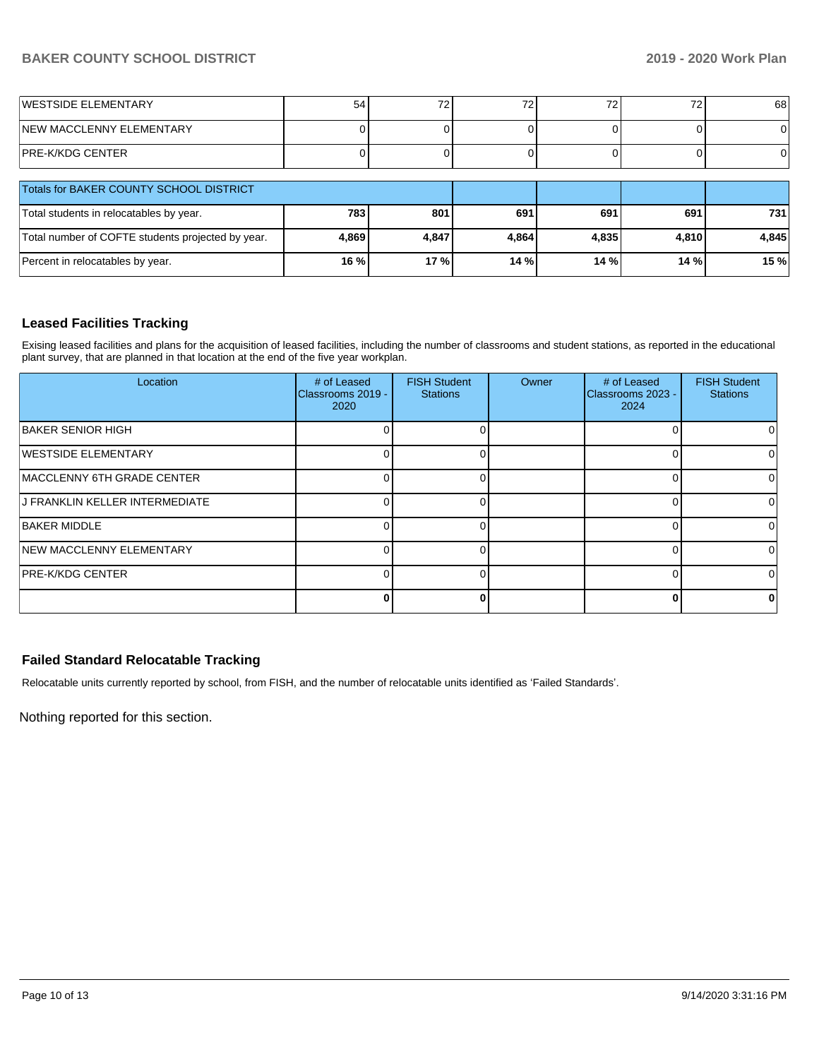# **BAKER COUNTY SCHOOL DISTRICT 2019 - 2020 Work Plan**

| <b>IWESTSIDE ELEMENTARY</b>      | 54 | 70<br>L | $\overline{\phantom{a}}$ | ້ | 68 |
|----------------------------------|----|---------|--------------------------|---|----|
| <b>INEW MACCLENNY ELEMENTARY</b> |    |         |                          |   |    |
| PRE-K/KDG CENTER                 |    |         |                          |   | Οl |

| <b>Totals for BAKER COUNTY SCHOOL DISTRICT</b>    |       |       |         |       |       |       |
|---------------------------------------------------|-------|-------|---------|-------|-------|-------|
| Total students in relocatables by year.           | 7831  | 801   | 691     | 691   | 691   | 731   |
| Total number of COFTE students projected by year. | 4,869 | 4,847 | 4,864   | 4.835 | 4.810 | 4.845 |
| Percent in relocatables by year.                  | 16 %  | 17 %  | $14 \%$ | 14 %  | 14 %  | 15 %  |

# **Leased Facilities Tracking**

Exising leased facilities and plans for the acquisition of leased facilities, including the number of classrooms and student stations, as reported in the educational plant survey, that are planned in that location at the end of the five year workplan.

| Location                           | # of Leased<br>Classrooms 2019 -<br>2020 | <b>FISH Student</b><br><b>Stations</b> | Owner | # of Leased<br>Classrooms 2023 -<br>2024 | <b>FISH Student</b><br><b>Stations</b> |
|------------------------------------|------------------------------------------|----------------------------------------|-------|------------------------------------------|----------------------------------------|
| BAKER SENIOR HIGH                  |                                          |                                        |       |                                          |                                        |
| <b>IWESTSIDE ELEMENTARY</b>        |                                          |                                        |       |                                          | 0                                      |
| <b>IMACCLENNY 6TH GRADE CENTER</b> |                                          |                                        |       |                                          | 0                                      |
| J FRANKLIN KELLER INTERMEDIATE     |                                          |                                        |       |                                          | ΩI                                     |
| <b>BAKER MIDDLE</b>                |                                          |                                        |       | C                                        | $\Omega$                               |
| <b>NEW MACCLENNY ELEMENTARY</b>    |                                          |                                        |       |                                          | 0                                      |
| <b>IPRE-K/KDG CENTER</b>           |                                          |                                        |       |                                          | $\Omega$                               |
|                                    |                                          | ŋ                                      |       |                                          | 0                                      |

# **Failed Standard Relocatable Tracking**

Relocatable units currently reported by school, from FISH, and the number of relocatable units identified as 'Failed Standards'.

Nothing reported for this section.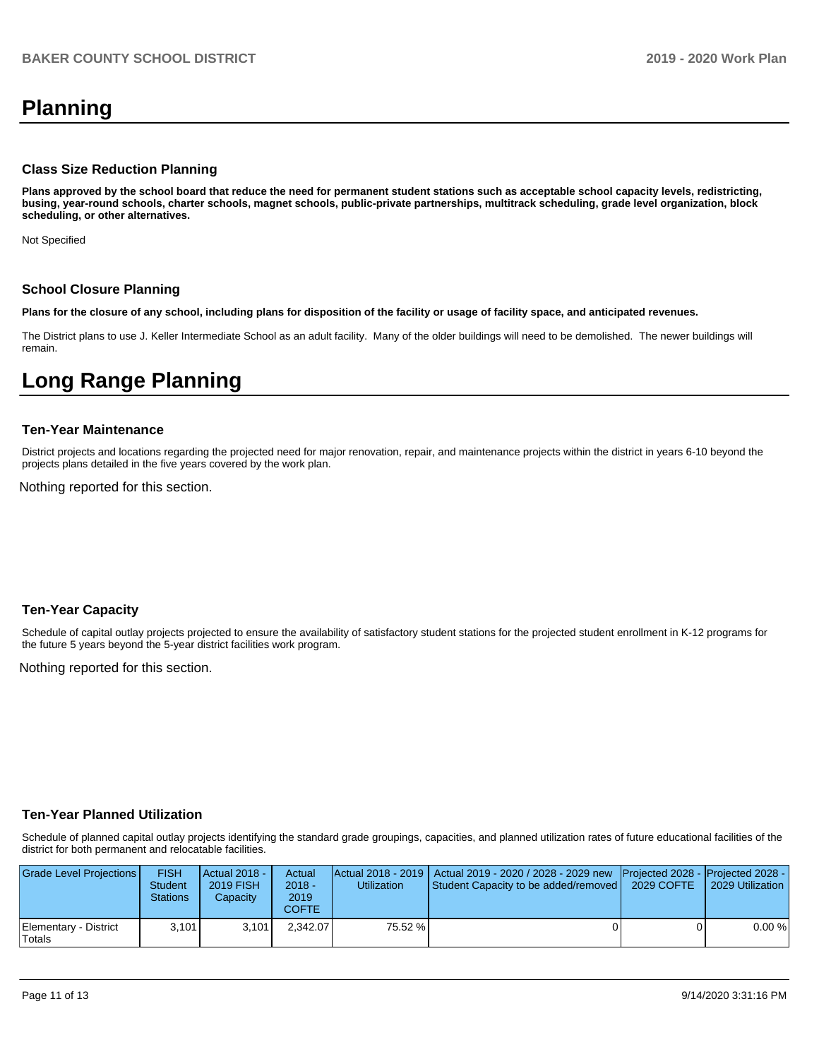# **Planning**

#### **Class Size Reduction Planning**

**Plans approved by the school board that reduce the need for permanent student stations such as acceptable school capacity levels, redistricting, busing, year-round schools, charter schools, magnet schools, public-private partnerships, multitrack scheduling, grade level organization, block scheduling, or other alternatives.**

Not Specified

#### **School Closure Planning**

**Plans for the closure of any school, including plans for disposition of the facility or usage of facility space, and anticipated revenues.** 

The District plans to use J. Keller Intermediate School as an adult facility. Many of the older buildings will need to be demolished. The newer buildings will remain.

# **Long Range Planning**

#### **Ten-Year Maintenance**

District projects and locations regarding the projected need for major renovation, repair, and maintenance projects within the district in years 6-10 beyond the projects plans detailed in the five years covered by the work plan.

Nothing reported for this section.

### **Ten-Year Capacity**

Schedule of capital outlay projects projected to ensure the availability of satisfactory student stations for the projected student enrollment in K-12 programs for the future 5 years beyond the 5-year district facilities work program.

Nothing reported for this section.

### **Ten-Year Planned Utilization**

Schedule of planned capital outlay projects identifying the standard grade groupings, capacities, and planned utilization rates of future educational facilities of the district for both permanent and relocatable facilities.

| Grade Level Projections         | <b>FISH</b><br>Student<br>Stations | Actual 2018 -<br><b>2019 FISH</b><br>Capacity | Actual<br>$2018 -$<br>2019<br>COFTE | Utilization | Actual 2018 - 2019   Actual 2019 - 2020 / 2028 - 2029 new Projected 2028 - Projected 2028 -<br>Student Capacity to be added/removed | 2029 COFTE | l 2029 Utilization |
|---------------------------------|------------------------------------|-----------------------------------------------|-------------------------------------|-------------|-------------------------------------------------------------------------------------------------------------------------------------|------------|--------------------|
| Elementary - District<br>Totals | 3.101                              | 3.101                                         | 2.342.07                            | 75.52 %     |                                                                                                                                     |            | 0.00%              |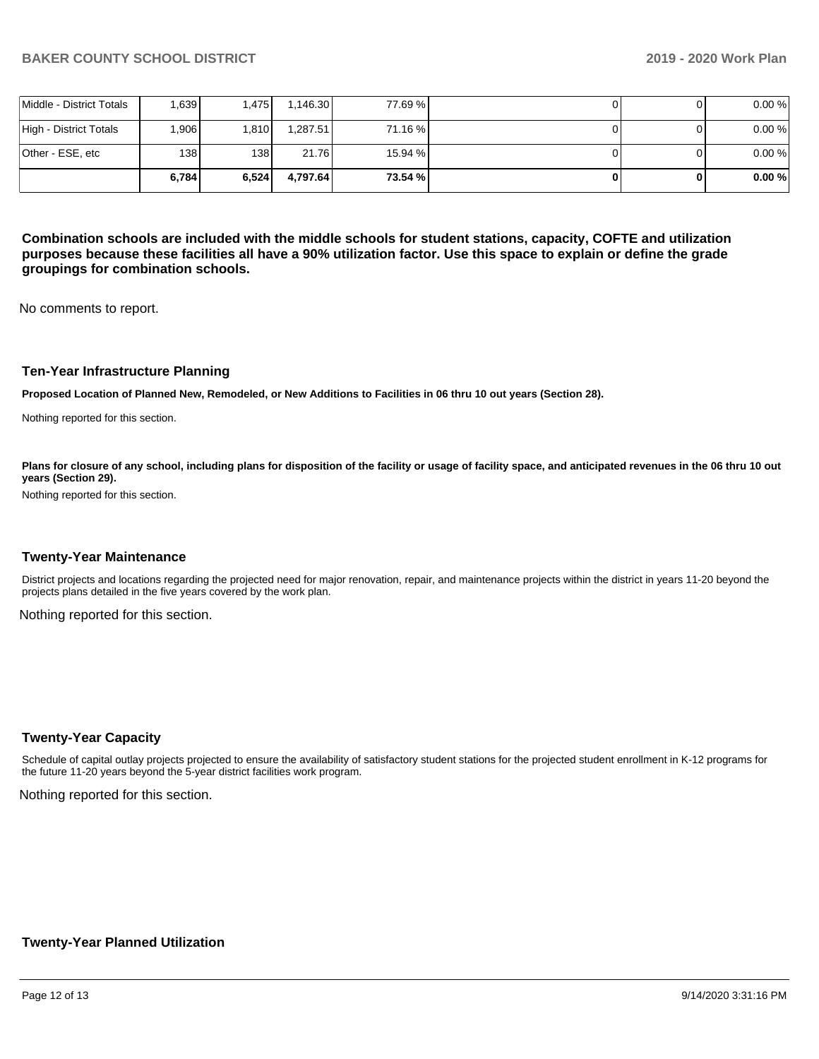|                          | 6.784 | 6.524 | 4.797.64 | 73.54 % |  | 0.00% |
|--------------------------|-------|-------|----------|---------|--|-------|
| Other - ESE, etc         | 138 I | 138 I | 21.76    | 15.94 % |  | 0.00% |
| High - District Totals   | .906  | 1.810 | 1.287.51 | 71.16 % |  | 0.00% |
| Middle - District Totals | .639  | .475  | 1.146.30 | 77.69 % |  | 0.00% |

**Combination schools are included with the middle schools for student stations, capacity, COFTE and utilization purposes because these facilities all have a 90% utilization factor. Use this space to explain or define the grade groupings for combination schools.** 

No comments to report.

#### **Ten-Year Infrastructure Planning**

**Proposed Location of Planned New, Remodeled, or New Additions to Facilities in 06 thru 10 out years (Section 28).**

Nothing reported for this section.

Plans for closure of any school, including plans for disposition of the facility or usage of facility space, and anticipated revenues in the 06 thru 10 out **years (Section 29).**

Nothing reported for this section.

#### **Twenty-Year Maintenance**

District projects and locations regarding the projected need for major renovation, repair, and maintenance projects within the district in years 11-20 beyond the projects plans detailed in the five years covered by the work plan.

Nothing reported for this section.

#### **Twenty-Year Capacity**

Schedule of capital outlay projects projected to ensure the availability of satisfactory student stations for the projected student enrollment in K-12 programs for the future 11-20 years beyond the 5-year district facilities work program.

Nothing reported for this section.

### **Twenty-Year Planned Utilization**